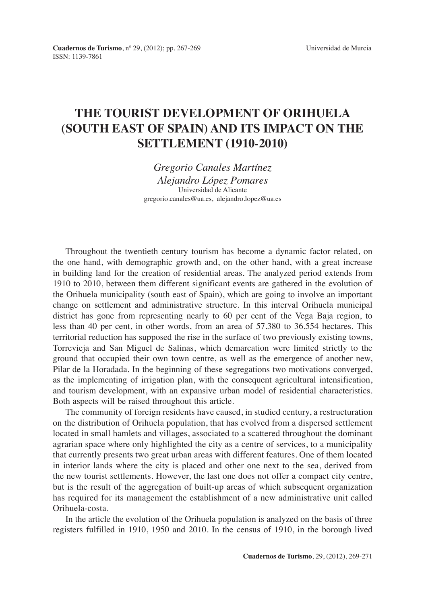## **THE TOURIST DEVELOPMENT OF ORIHUELA (SOUTH EAST OF SPAIN) AND ITS IMPACT ON THE SETTLEMENT (1910-2010)**

*Gregorio Canales Martínez Alejandro López Pomares* Universidad de Alicante gregorio.canales@ua.es, alejandro.lopez@ua.es

Throughout the twentieth century tourism has become a dynamic factor related, on the one hand, with demographic growth and, on the other hand, with a great increase in building land for the creation of residential areas. The analyzed period extends from 1910 to 2010, between them different significant events are gathered in the evolution of the Orihuela municipality (south east of Spain), which are going to involve an important change on settlement and administrative structure. In this interval Orihuela municipal district has gone from representing nearly to 60 per cent of the Vega Baja region, to less than 40 per cent, in other words, from an area of 57.380 to 36.554 hectares. This territorial reduction has supposed the rise in the surface of two previously existing towns, Torrevieja and San Miguel de Salinas, which demarcation were limited strictly to the ground that occupied their own town centre, as well as the emergence of another new, Pilar de la Horadada. In the beginning of these segregations two motivations converged, as the implementing of irrigation plan, with the consequent agricultural intensification, and tourism development, with an expansive urban model of residential characteristics. Both aspects will be raised throughout this article.

The community of foreign residents have caused, in studied century, a restructuration on the distribution of Orihuela population, that has evolved from a dispersed settlement located in small hamlets and villages, associated to a scattered throughout the dominant agrarian space where only highlighted the city as a centre of services, to a municipality that currently presents two great urban areas with different features. One of them located in interior lands where the city is placed and other one next to the sea, derived from the new tourist settlements. However, the last one does not offer a compact city centre, but is the result of the aggregation of built-up areas of which subsequent organization has required for its management the establishment of a new administrative unit called Orihuela-costa.

In the article the evolution of the Orihuela population is analyzed on the basis of three registers fulfilled in 1910, 1950 and 2010. In the census of 1910, in the borough lived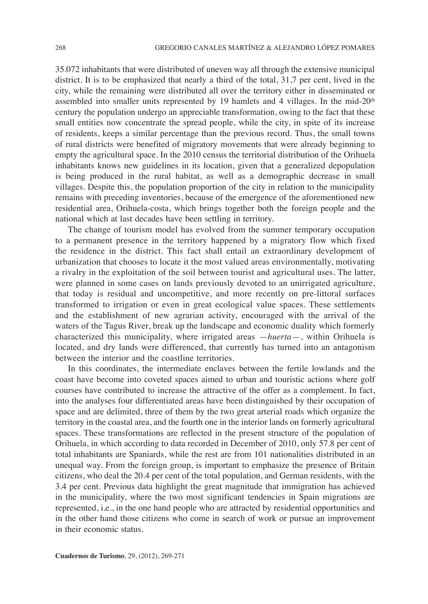35.072 inhabitants that were distributed of uneven way all through the extensive municipal district. It is to be emphasized that nearly a third of the total, 31,7 per cent, lived in the city, while the remaining were distributed all over the territory either in disseminated or assembled into smaller units represented by 19 hamlets and 4 villages. In the mid-20<sup>th</sup> century the population undergo an appreciable transformation, owing to the fact that these small entities now concentrate the spread people, while the city, in spite of its increase of residents, keeps a similar percentage than the previous record. Thus, the small towns of rural districts were benefited of migratory movements that were already beginning to empty the agricultural space. In the 2010 census the territorial distribution of the Orihuela inhabitants knows new guidelines in its location, given that a generalized depopulation is being produced in the rural habitat, as well as a demographic decrease in small villages. Despite this, the population proportion of the city in relation to the municipality remains with preceding inventories, because of the emergence of the aforementioned new residential area, Orihuela-costa, which brings together both the foreign people and the national which at last decades have been settling in territory.

The change of tourism model has evolved from the summer temporary occupation to a permanent presence in the territory happened by a migratory flow which fixed the residence in the district. This fact shall entail an extraordinary development of urbanization that chooses to locate it the most valued areas environmentally, motivating a rivalry in the exploitation of the soil between tourist and agricultural uses. The latter, were planned in some cases on lands previously devoted to an unirrigated agriculture, that today is residual and uncompetitive, and more recently on pre-littoral surfaces transformed to irrigation or even in great ecological value spaces. These settlements and the establishment of new agrarian activity, encouraged with the arrival of the waters of the Tagus River, break up the landscape and economic duality which formerly characterized this municipality, where irrigated areas —*huerta*—, within Orihuela is located, and dry lands were differenced, that currently has turned into an antagonism between the interior and the coastline territories.

In this coordinates, the intermediate enclaves between the fertile lowlands and the coast have become into coveted spaces aimed to urban and touristic actions where golf courses have contributed to increase the attractive of the offer as a complement. In fact, into the analyses four differentiated areas have been distinguished by their occupation of space and are delimited, three of them by the two great arterial roads which organize the territory in the coastal area, and the fourth one in the interior lands on formerly agricultural spaces. These transformations are reflected in the present structure of the population of Orihuela, in which according to data recorded in December of 2010, only 57.8 per cent of total inhabitants are Spaniards, while the rest are from 101 nationalities distributed in an unequal way. From the foreign group, is important to emphasize the presence of Britain citizens, who deal the 20.4 per cent of the total population, and German residents, with the 3.4 per cent. Previous data highlight the great magnitude that immigration has achieved in the municipality, where the two most significant tendencies in Spain migrations are represented, i.e., in the one hand people who are attracted by residential opportunities and in the other hand those citizens who come in search of work or pursue an improvement in their economic status.